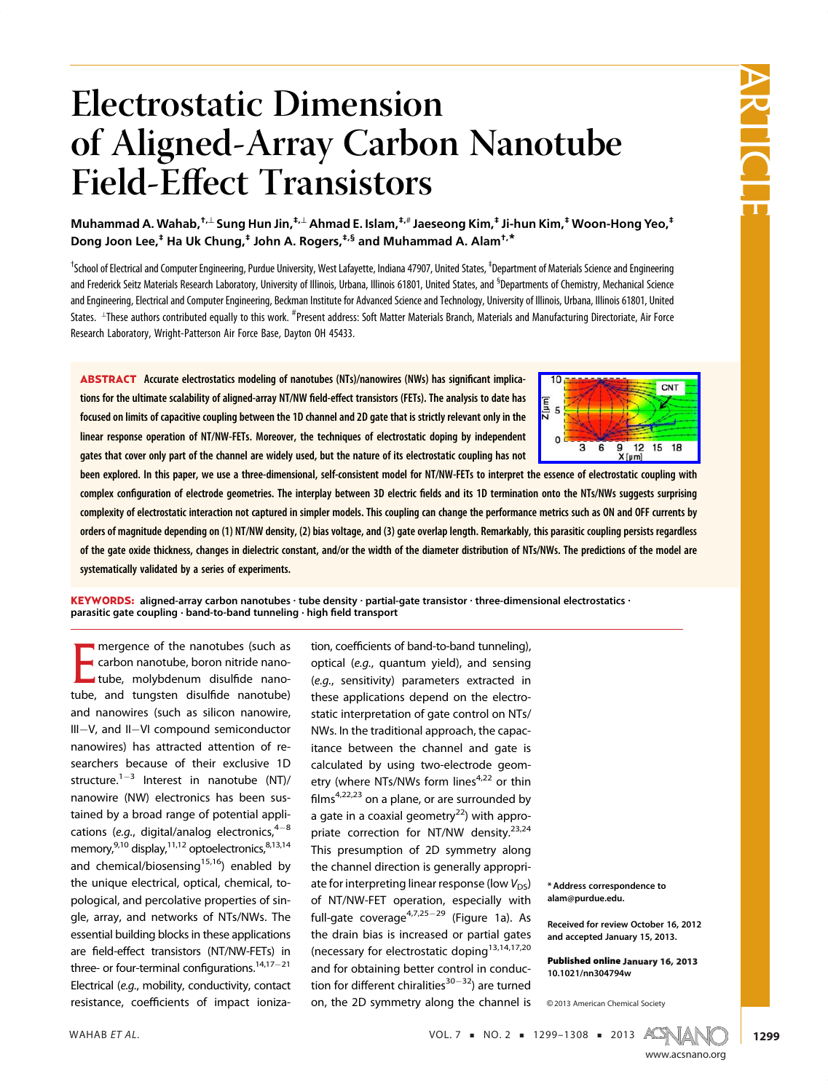

# Electrostatic Dimension of Aligned-Array Carbon Nanotube Field-Effect Transistors

Muhammad A. Wahab,<sup>†,⊥</sup> Sung Hun Jin,<sup>‡,⊥</sup> Ahmad E. Islam,<sup>‡,#</sup> Jaeseong Kim,<sup>‡</sup> Ji-hun Kim,<sup>‡</sup> Woon-Hong Yeo,<sup>‡</sup> Dong Joon Lee,<sup>‡</sup> Ha Uk Chung,<sup>‡</sup> John A. Rogers,<sup>‡,§</sup> and Muhammad A. Alam<sup>†,\*</sup>

<sup>t</sup>School of Electrical and Computer Engineering, Purdue University, West Lafayette, Indiana 47907, United States, <sup>‡</sup>Department of Materials Science and Engineering and Frederick Seitz Materials Research Laboratory, University of Illinois, Urbana, Illinois 61801, United States, and <sup>S</sup>Departments of Chemistry, Mechanical Science and Engineering, Electrical and Computer Engineering, Beckman Institute for Advanced Science and Technology, University of Illinois, Urbana, Illinois 61801, United States. LThese authors contributed equally to this work. <sup>#</sup>Present address: Soft Matter Materials Branch, Materials and Manufacturing Directoriate, Air Force Research Laboratory, Wright-Patterson Air Force Base, Dayton OH 45433.

ABSTRACT Accurate electrostatics modeling of nanotubes (NTs)/nanowires (NWs) has significant implications for the ultimate scalability of aligned-array NT/NW field-effect transistors (FETs). The analysis to date has focused on limits of capacitive coupling between the 1D channel and 2D gate that is strictly relevant only in the linear response operation of NT/NW-FETs. Moreover, the techniques of electrostatic doping by independent gates that cover only part of the channel are widely used, but the nature of its electrostatic coupling has not



been explored. In this paper, we use a three-dimensional, self-consistent model for NT/NW-FETs to interpret the essence of electrostatic coupling with complex configuration of electrode geometries. The interplay between 3D electric fields and its 1D termination onto the NTs/NWs suggests surprising complexity of electrostatic interaction not captured in simpler models. This coupling can change the performance metrics such as ON and OFF currents by orders of magnitude depending on (1) NT/NW density, (2) bias voltage, and (3) gate overlap length. Remarkably, this parasitic coupling persists regardless of the gate oxide thickness, changes in dielectric constant, and/or the width of the diameter distribution of NTs/NWs. The predictions of the model are systematically validated by a series of experiments.

KEYWORDS: aligned-array carbon nanotubes  $\cdot$  tube density  $\cdot$  partial-gate transistor  $\cdot$  three-dimensional electrostatics  $\cdot$ parasitic gate coupling  $\cdot$  band-to-band tunneling  $\cdot$  high field transport

E mergence of the nanotubes (such as<br>carbon nanotube, boron nitride nanotube, molybdenum disulfide nanotube, and tungsten disulfide nanotube)<br>and panouires (such as silisen panouire  $\frac{1}{\sqrt{2}}$ III-V, and II-VI compound semiconductor<br>repositives), has attracted attention of renanowires) has attracted attention of researchers because of their exclusive 1D structure.<sup>1-3</sup> Interest in nanotube (NT)/<br>nanowire.<sup>(NM)</sup> electronics has been ave tained by a broad range of potential applications (e.g., digital/analog electronics,  $4-8$ <br>memori  $2^{10}$  digital/analog electronics,  $4-8$ memory,<sup>201</sup> display,<sup>201</sup> optoelectronics,<sup>9,13</sup>,14<br>and abomical/biogeneing<sup>15,16</sup>), anabled by and chemical/biosensing<sup>15,15</sup>) enabled by<br>the unique electrical entirel chemical to the unique electrical, optical, chemical, to-<br>pological, and percolative properties of single, array, and networks of NTs/NWs. The essential building blocks in these applications are field-effect transistors (NT/NW-FETs) in three- or four-terminal configurations.<sup>14,17-21</sup> Electrical (e.g., mobility, conductivity, contact resistance, coefficients of impact ionization, coefficients of band-to-band tunneling), optical (e.g., quantum yield), and sensing (e.g., sensitivity) parameters extracted in these applications depend on the electrostatic interpretation of gate control on NTs/ NWs. In the traditional approach, the capacitance between the channel and gate is calculated by using two-electrode geometry (where NTs/NWs form lines<sup>4,22</sup> or thin etry (where NTS/NWS form lines  $\frac{1}{2}$  or thin films<sup>4,22,23</sup> on a plane, or are surrounded by a gate in a coaxial geometry<sup>22</sup>) with appro-<br>priate correction for NT/NW density.<sup>23,24</sup> This presumption of 2D symmetry along the channel direction is generally appropriate for interpreting linear response (low  $V_{DS}$ )<br>ate for interpreting linear response (low  $V_{DS}$ ) full-gate coverage $47,25-29$  (Figure 1a). As the drain bias is increased or partial gates (necessary for electrostatic doping13,14,17,17,200) and for obtaining better conduction for different chiralities<sup>30-32</sup>) are turned on, the 2D symmetry along the channel is

\* Address correspondence to alam@purdue.edu.

Received for review October 16, 2012 and accepted January 15, 2013.

Published online January 16, 2013 10.1021/nn304794w

<sup>C</sup> 2013 American Chemical Society

WAHAB ET AL.  $VOL. 7 = NO. 2 = 1299 - 1308 = 2013$   $ACS(M)$ 



1299

www.acsnano.org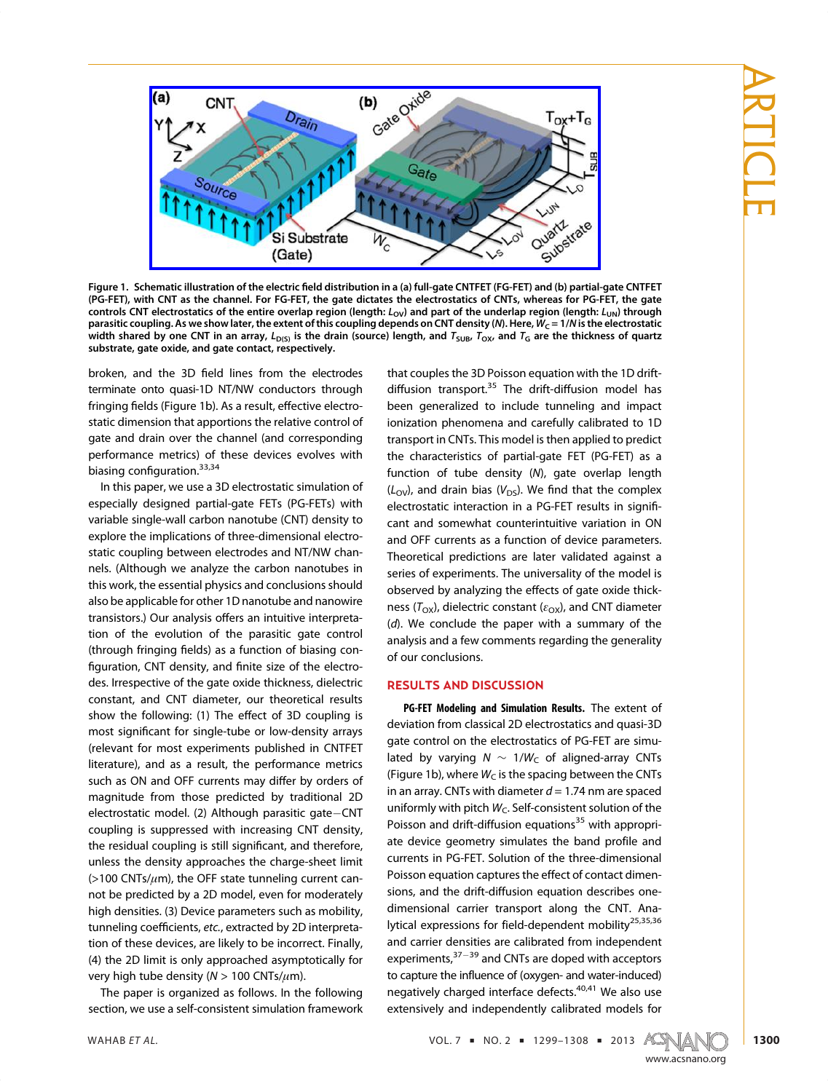

Figure 1. Schematic illustration of the electric field distribution in a (a) full-gate CNTFET (FG-FET) and (b) partial-gate CNTFET (PG-FET), with CNT as the channel. For FG-FET, the gate dictates the electrostatics of CNTs, whereas for PG-FET, the gate controls CNT electrostatics of the entire overlap region (length:  $L_{OV}$ ) and part of the underlap region (length:  $L_{UN}$ ) through parasitic coupling. As we show later, the extent of this coupling depends on CNT density (N). Here,  $W_C = 1/N$  is the electrostatic width shared by one CNT in an array,  $L_{D(5)}$  is the drain (source) length, and  $T_{SUB}$ ,  $T_{OX}$ , and  $T_G$  are the thickness of quartz substrate, gate oxide, and gate contact, respectively.

broken, and the 3D field lines from the electrodes terminate onto quasi-1D NT/NW conductors through fringing fields (Figure 1b). As a result, effective electro-<br>static dimension that appearings the relative control of static dimension that apportions the relative control of gate and drain over the channel (and corresponding performance metrics) of these devices evolves with  $\frac{1}{2}$ <br>biasing configuration.<sup>33,34</sup><br>biasing configuration.<sup>33,34</sup>

In this paper, we use a 3D electrostatic simulation of especially designed partial-gate FETs (PG-FETs) with variable single-wall carbon nanotube (CNT) density to explore the implications of three-dimensional electrostatic coupling between electrodes and NT/NW channels. (Although we analyze the carbon nanotubes in this work, the essential physics and conclusions should also be applicable for other 1D nanotube and nanowire transistors.) Our analysis offers an intuitive interpreta-<br>tion of the quolution of the paracitic rate control  $t$  (through fringing fields) as a function of biasing control of the parameters  $\overline{t}$ figuration, CNT density, and finite size of the electro-<br>des. Irrespective of the gate oxide thickness, dielectric constant, and CNT diameter, our theoretical results show the following: (1) The effect of 3D coupling is<br>meet cignificant for cignle tube or low depeity arrays most significant for single-tube or low-density arrays literature), and as a result, the performance metrics such as ON and OFF currents may differ by orders of meanitude from these predicted by traditional 2D electrostatic model. (2) Although parasitic gate-CNT<br>coupling is suppressed with increasing CNT density  $\epsilon$ -be residual coupling is still significant, and therefore,  $\epsilon$  where the density, and therefore,  $\epsilon$  $(z)$ 100 CNTs/ $\mu$ m), the OFF state tunneling current can-<br>not be prodicted by a 2D model, even for moderately not be predicted by a 2D model, even for moderately<br>high densities. (3) Device parameters such as mobility, tunneling coefficients, etc., extracted by 2D interpreta-<br>tion of these dovices, are likely to be incerrect. Finally tion of these devices, are likely to be incorrect. Finally, (4) the 2D limit is only approached asymptotically for ( $\theta$ ) the 2D limit is only approximately for  $(N > 100 \text{ CNTs/μm})$ .<br>The paper is organized as follows in the following

The paper is organized as follows. In the following section, we use a self-consistent simulation framework

diffusion transport.<sup>35</sup> The drift-diffusion model has  $\frac{1}{2}$  has the 1D drift of 1D drift the 1D drift of 1D drifts. been generalized to include tunneling and impact ionization phenomena and carefully calibrated to 1D transport in CNTs. This model is then applied to predict the characteristics of partial-gate FET (PG-FET) as a function of tube density  $(N)$ , gate overlap length  $\mu$  $(L_{\text{OV}})$ , and drain bias ( $V_{\text{DS}}$ ). We find that the complex electrostatic interaction in a PG-FET results in signifiand OFF currents as a function of device parameters. Theoretical predictions are later validated against a series of experiments. The universality of the model is series of experimental the universality of the model is<br>observed by analyzing the effects of gate oxide thick-<br>ness (T, ), dialectric constant (e, ), and CNT diameter ness ( $T_{\rm OX}$ ), dielectric constant ( $\varepsilon_{\rm OX}$ ), and CNT diameter  $(d)$ . We conclude the paper with a summary of the analysis and a few comments regarding the generality of our conclusions.

# RESULTS AND DISCUSSION

PG-FET Modeling and Simulation Results. The extent of deviation from classical 2D electrostatics and quasi-3D gate control on the electrostatics of PG-FET are simulated by varying  $N \sim 1/W_C$  of aligned-array CNTs (Figure 1b), where  $W_C$  is the spacing between the CNTs in an array. CNTs with diameter  $d = 1.74$  nm are spaced uniformly with pitch  $W_c$ . Self-consistent solution of the Poisson and drift-diffusion equations<sup>35</sup> with appropriate device geometry simulates the band profile and currents in PG-FET. Solution of the three-dimensional Poisson equation captures the effect of contact dimensions, and the drift-diffusion equation describes onedimensional carrier transport along the CNT. Anaadimensional carrier transport along the CNT. Ana-<br>https://www.carriers.fox.field.degraped.ort.org/bilit.25,35,36 lytical expressions for field-dependent mobility<br>2nd carrier depoities are salibrated from independent experiments, $37-39$  and CNTs are doped with acceptors  $t_{\rm{0}}$  capture the interface of  $\frac{40.41}{\mu}$  Me also use negatively charged interface defects.40,41 We also use<br>extensively and independently selibrated models for extensively and independently calibrated models for

WAHAB ET AL.  $VOL. 7 = NO. 2 = 1299-1308 = 2013$   $A C S \sim 1299 - 1308$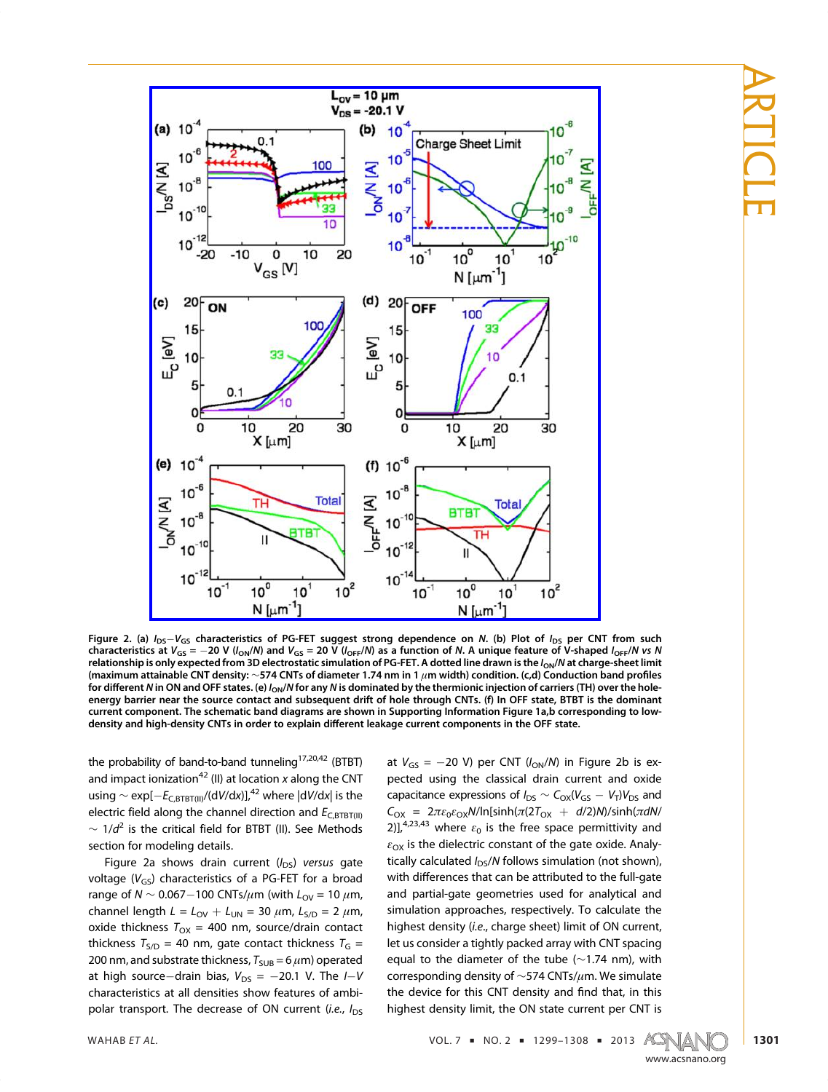ARTICLE



Figure 2. (a)  $I_{DS}-V_{GS}$  characteristics of PG-FET suggest strong dependence on N. (b) Plot of  $I_{DS}$  per CNT from such characteristics at  $V_{GS} = -20$  V ( $I_{ON}/N$ ) and  $V_{GS} = 20$  V ( $I_{OFF}/N$ ) as a function of N. A unique feature of V-shaped  $I_{OFF}/N$  vs N relationship is only expected from 3D electrostatic simulation of PG-FET. A dotted line drawn is the  $I_{ON}/N$  at charge-sheet limit (maximum attainable CNT density: <sup>∼</sup>574 CNTs of diameter 1.74 nm in 1 <sup>μ</sup>m width) condition. (c,d) Conduction band profiles for different N in ON and OFF states. (e)  $I_{ON}/N$  for any N is dominated by the thermionic injection of carriers (TH) over the holeenergy barrier near the source contact and subsequent drift of hole through CNTs. (f) In OFF state, BTBT is the dominant current component. The schematic band diagrams are shown in Supporting Information Figure 1a,b corresponding to lowdensity and high-density CNTs in order to explain different leakage current components in the OFF state.

the probability of band-to-band tunneling  $177$  (BTBT) and impact ionization<sup>42</sup> (II) at location x along the CNT<br>using superfulled and detailed the detailed that is the using ∼ exp[ $-E_{C,BTBT(III)}$ /(dV/dx)],<sup>42</sup> where |dV/dx| is the electric field along the channel direction and  $E_{\text{C,BTBT(III)}}$  $\sim 1/d^2$  is the critical field for BTBT (II). See Methods section for modeling details.

Figure 2a shows drain current  $(l_{DS})$  versus gate<br>veltage  $(l)$ , characteristics of a BC EET for a broad voltage ( $V_{GS}$ ) characteristics of a PG-FET for a broad range of  $N \sim 0.067-100$  CNTs/ $\mu$ m (with  $L_{\text{OV}} = 10 \ \mu$ m, channel length  $L = L_{\text{OV}} + L_{\text{UN}} = 30 \ \mu \text{m}$ ,  $L_{\text{S/D}} = 2 \ \mu \text{m}$ , oxide thickness  $T_{OX} = 400$  nm, source/drain contact thickness  $T_{S/D}$  = 40 nm, gate contact thickness  $T_G$  = 200 nm, and substrate thickness,  $T_{SUB} = 6 \,\mu m$ ) operated at high source-drain bias,  $V_{DS} = -20.1$  V. The  $I-V$  characteristics at all densities show features of ambi- $\frac{1}{2}$  polar transport. The decrease of ON current (*i.e.*,  $I_{DS}$ 

at  $V_{GS} = -20$  V) per CNT ( $I_{ON}/N$ ) in Figure 2b is expected using the classical drain current and oxide capacitance expressions of  $I_{DS} \sim C_{OX}(V_{GS} - V_T)V_{DS}$  and<br> $C = 2\pi\epsilon_0 e^{-N/\ln[\sinh(\pi/2T - (1-\sqrt{3})/N/(\sinh(\pi/2T))]}]$  $C_{OX}$  =  $2\pi\varepsilon_0\varepsilon_{OX}N/\ln[\sinh(\pi(2T_{OX} + d/2)N)/\sinh(\pi dN/$ 2)],<sup>4,23,43</sup> where  $\varepsilon_0$  is the free space permittivity and  $\varepsilon_{\text{OX}}$  is the dielectric constant of the gate oxide. Analytically calculated  $I_{DS}/N$  follows simulation (not shown), with differences that can be attributed to the full-gate<br>and partial-gate geometries used for analytical and simulation approaches, respectively. To calculate the highest density (i.e., charge sheet) limit of ON current,<br>lot us cancider a tightly packed array with CNT cancing let us consider a tightly packed array with CNT spacing equal to the diameter of the tube  $(\sim 1.74 \text{ nm})$ , with equal to the diameter of the tube (∼1.74 nm), with<br>corresponding donsity of a 574 CNTs (um We simulate corresponding density of <sup>∼</sup>574 CNTs/μm. We simulate the device for this CNT density and find that, in this highest density limit, the ON state current per CNT is

WAHAB ET AL.  $VOL. 7 = NO. 2 = 1299-1308 = 2013$   $ACS(M)$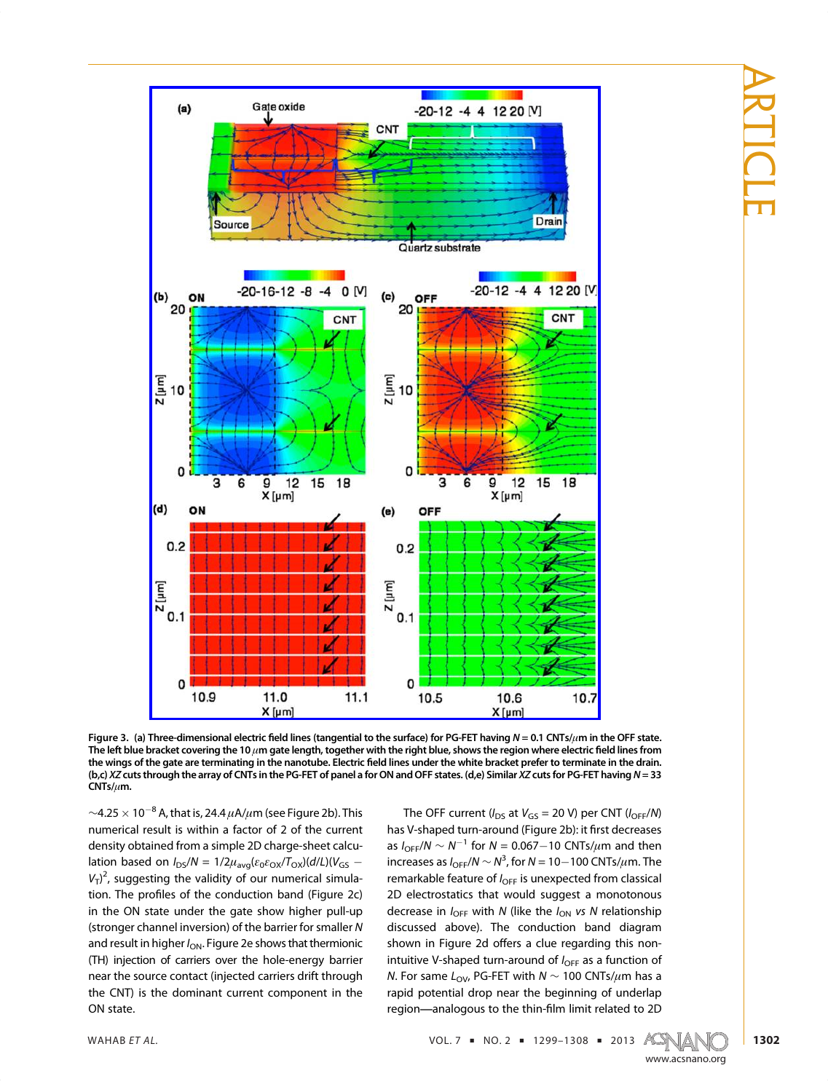ARTICLE



Figure 3. (a) Three-dimensional electric field lines (tangential to the surface) for PG-FET having  $N = 0.1$  CNTs/ $\mu$ m in the OFF state. The left blue bracket covering the 10  $\mu$ m gate length, together with the right blue, shows the region where electric field lines from the wings of the gate are terminating in the nanotube. Electric field lines under the white bracket prefer to terminate in the drain. (b,c) XZ cuts through the array of CNTs in the PG-FET of panel a for ON and OFF states. (d,e) Similar XZ cuts for PG-FET having N= 33 CNTs/μm.

~4.25  $\times$  10<sup>-8</sup> A, that is, 24.4  $\mu$ A/ $\mu$ m (see Figure 2b). This numerical result is within a factor of 2 of the current density obtained from a simple 2D charge-sheet calculation based on  $I_{DS}/N = 1/2\mu_{avg}(\epsilon_0\epsilon_{OX}/T_{OX})(d/L)(V_{GS} -$ <br> $\frac{1}{2}$  currecting the validity of our numerical simula  $V_T$ <sup>2</sup> tion. The profiles of the conduction band (Figure 2c)<br>in the ON state under the sate show bishes pull up (stronger channel inversion) of the barrier for smaller N<br>and result in higher  $l = \frac{\sum_{i=1}^{n} a_i}{\sum_{i=1}^{n} a_i}$ and result in higher  $I_{ON}$ . Figure 2e shows that thermionic (TH) injection of carriers over the hole-energy barrier near the source contact (injected carriers drift through near the source contact (injected cannot carriers drift through the CNT) is the dominant current component in the ON state.

The OFF current ( $I_{DS}$  at  $V_{GS}$  = 20 V) per CNT ( $I_{OFF}/N$ ) has V-shaped turn-around (Figure 2b): it first decreases as  $I_{\text{OFF}}/N \sim N^{-1}$  for  $N = 0.067 - 10$  CNTs/ $\mu$ m and then increases as I<sub>OFF</sub>/N ∼ N<sup>3</sup>, for N = 10−100 CNTs/ $\mu$ m. The<br>remarkable feature of L —is unexpected from classical remarkable feature of  $I_{\text{OFF}}$  is unexpected from classical<br>2D electrostatics that would suggest a monotonous decrease in  $I_{\text{OFF}}$  with N (like the  $I_{\text{ON}}$  vs N relationship shown in Figure 2d offers a clue regarding this non-<br>intuitive V shaped turn around of  $\ell_{\text{max}}$  as a function of intuitive V-shaped turn-around of  $I_{\text{OFF}}$  as a function of *N*. For same  $L_{\text{OV}}$ , PG-FET with  $N \sim 100 \text{ CNTs}/\mu \text{m}$  has a rapid potential drop near the beginning of underlap rapid potential drop near the beginning of underlapped processes.

WAHAB ET AL.  $VOL. 7 = NO. 2 = 1299-1308 = 2013$   $A C N 4$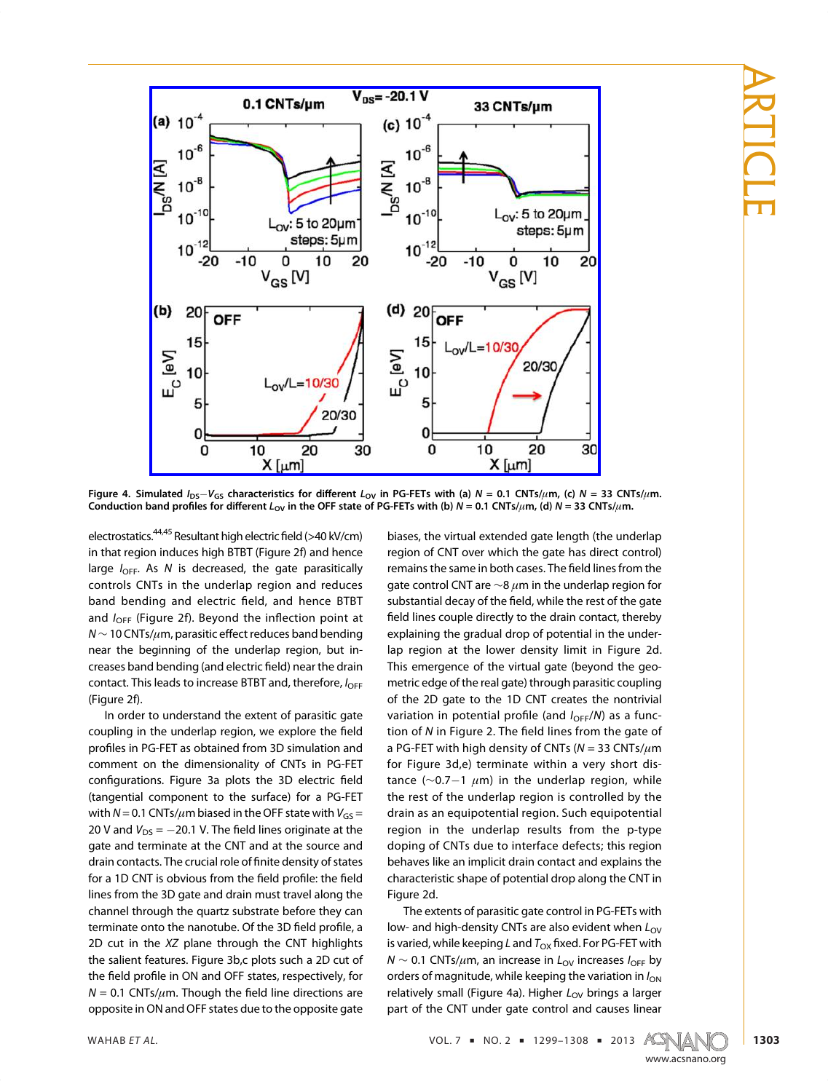ARTICLE



Figure 4. Simulated  $I_{DS}-V_{GS}$  characteristics for different  $L_{OV}$  in PG-FETs with (a)  $N = 0.1$  CNTs/ $\mu$ m, (c)  $N = 33$  CNTs/ $\mu$ m. Conduction band profiles for different  $L_{OV}$  in the OFF state of PG-FETs with (b)  $N = 0.1$  CNTs/ $\mu$ m, (d)  $N = 33$  CNTs/ $\mu$ m.

electrostatics.<sup>44,45</sup> Resultant high electric field (>40 kV/cm) in that region induces high BTBT (Figure 2f) and hence  $\frac{1}{\pi}$  region in that region is decreased, the gate parasitically<br>controls CNTs in the underlan region and reduces band bending and electric field, and hence BTBT<br>and  $l = \frac{(Figure 2f)_{\text{EQUC}}}{r}$  Revend the inflection point at and  $I_{\text{OFF}}$  (Figure 2f). Beyond the inflection point at  $N \sim 10$  CNTs/ $\mu$ m, parasitic effect reduces band bending near the beginning of the underlap region, but increases band bending (and electric field) near the drain<br>contact. This loads to increase PTPT and therefore. contact. This leads to increase BTBT and, therefore,  $I_{\text{OFF}}$ <br>(Figure 2f).

In order to understand the extent of parasitic gate In order to understand the extent of parasitic gate coupling in the underlap region, we explore the field profiles in PG-FET as obtained from 3D simulation and configurations. Figure 3a plots the 3D electric field<br>(tangential component to the surface) for a PG-FET  $(t_0, t_1)$  and  $t_0 = 0.1$  CNTs/ $\mu$ m biased in the OFF state with  $V_{GS} = 20.1$  CNTs/ $\mu$ m biased in the OFF state with  $V_{GS} = 20.1$  V. The field lines existents at the 20 V and  $V_{DS} = -20.1$  V. The field lines originate at the gate and terminate at the CNT and at the source and gate and terminates. The crucial role of finite density of states<br>drain contacts. The crucial role of finite density of states for a 1D CNT is obvious from the field profile: the field<br>lines from the 3D gate and drain must travel along the channel through the quartz substrate before they can terminate onto the nanotube. Of the 3D field profile, a<br>2D cut in the XZ plane through the CNT bighlights 2D cut in the  $XZ$  plane through the CNT highlights the salient features. Figure 3b,c plots such a 2D cut of the field profile in ON and OFF states, respectively, for  $M = 0.1$  CNTs/ $\mu$ m. Though the field line directions are  $N = 0.1$  CNTs/ $\mu$ m. Though the field line directions are opposite in ON and OFF states due to the opposite gate biases, the virtual extended gate length (the underlap region of CNT over which the gate has direct control) region of CNT over which the gate has direct control)<br>restaurant control CNT are  $\sim 8 \mu m$  in the underlap region for gate control CNT are  $\sim$ 8  $\mu$ m in the underlap region for substantial decay of the field, while the rest of the gate field lines couple directly to the drain contact, thereby<br>explaining the gradual drop of potential in the underlap region at the lower density limit in Figure 2d. This emergence of the virtual gate (beyond the geometric edge of the real gate) through parasitic coupling of the 2D gate to the 1D CNT creates the nontrivial variation in potential profile (and  $I_{OFF}/N$ ) as a func-<br>tion of N in Figure 2. The field lines from the gate of tion of <sup>N</sup> in Figure 2. The field lines from the gate of a PG-FET with high density of CNTs  $(N = 33 \text{ CNTs}/\mu\text{m})$ <br>for Figure 3d,e) terminate within a very short disfor Figure  $\left(\sim 0.7-1 \mu \text{m}\right)$  in the underlap region, while the rest of the underlap region is controlled by the drain as an equipotential region. Such equipotential region in the underlap results from the p-type doping of CNTs due to interface defects; this region behaves like an implicit drain contact and explains the  $\frac{1}{2}$ characteristic shape of potential drop along the CNT in the CNT in the CNT in the CNT in the CNT in the CNT in the CNT in the CNT in the CNT in the CNT in the CNT in the CNT in the CNT in the CNT in the CNT in the CNT in t

Figure 2d.<br>The extents of parasitic gate control in PG-FETs with low- and high-density CNTs are also evident when  $L_{\text{OV}}$ <br>is varied while keeping Land T<sub>re</sub> fixed Ear BC FET with is varied, while keeping L and  $T_{OX}$  fixed. For PG-FET with  $N$  ∼ 0.1 CNTs/ $μ$ m, an increase in  $L_{OV}$  increases  $I_{OFF}$  by orders of magnitude, while keeping the variation in  $I_{ON}$ relatively small (Figure 4a). Higher  $L_{\text{OV}}$  brings a larger part of the CNT under gate control and causes linear

WAHAB ET AL.  $VOL.7 = NO. 2 = 1299-1308 = 2013$   $ACS(M)$ 

www.acsnano.org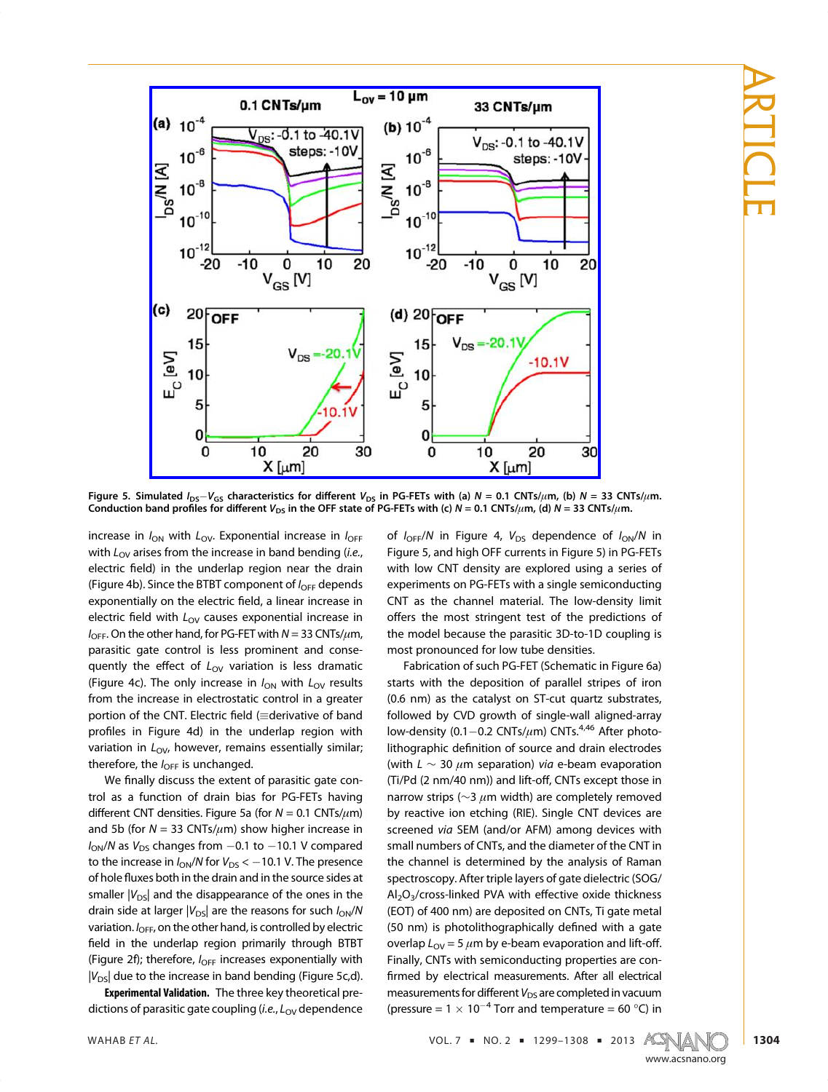

Figure 5. Simulated  $I_{DS}-V_{GS}$  characteristics for different  $V_{DS}$  in PG-FETs with (a)  $N = 0.1$  CNTs/ $\mu$ m, (b)  $N = 33$  CNTs/ $\mu$ m. Conduction band profiles for different  $V_{DS}$  in the OFF state of PG-FETs with (c)  $N = 0.1$  CNTs/ $\mu$ m, (d)  $N = 33$  CNTs/ $\mu$ m.

increase in  $I_{ON}$  with  $L_{OV}$ . Exponential increase in  $I_{OFF}$ with  $L_{\text{OV}}$  arises from the increase in band bending (*i.e.*, electric field) in the underlap region near the drain (Figure 4b). Since the BTBT component of  $I_{\text{OFF}}$  depends exponentially on the electric field, a linear increase in electric field with  $L_{\text{OV}}$  causes exponential increase in  $I_{\text{OFF}}$ . On the other hand, for PG-FET with  $N = 33 \text{ CNTs}/\mu \text{m}$ , parasitic gate control is less prominent and consequently the effect of  $L_{\text{OV}}$  variation is less dramatic<br>(Figure 4c). The only increase in Lumith Lumoults (Figure 4c). The only increase in  $I_{ON}$  with  $L_{OV}$  results from the increase in electrostatic control in a greater portion of the CNT. Electric field (=derivative of band<br>profiles in Figure 4d) in the underlap region with profiles in Figure 4d) in the underlap region with variation in  $L_{\text{OV}}$ , however, remains essentially similar; therefore, the  $I_{\text{OFF}}$  is unchanged.

We finally discuss the extent of parasitic gate con-<br>trol as a function of drain bias for PG-FETs having different CNT densities. Figure 5a (for  $N = 0.1$  CNTs/ $\mu$ m)<br>and 5b (for  $N = 32$  CNTs/ $\mu$ m) show higher increase in and 5b (for  $N = 33$  CNTs/ $\mu$ m) show higher increase in  $I_{ON}/N$  as  $V_{DS}$  changes from  $-0.1$  to  $-10.1$  V compared to the increase in  $I_{ON}/N$  for  $V_{DS} < -10.1$  V. The presence of hole fluxes both in the drain and in the source sides at smaller  $|V_{DS}|$  and the disappearance of the ones in the drain side at larger  $|V_{DS}|$  are the reasons for such  $I_{ON}/N$ variation.  $I_{\text{OFF}}$ , on the other hand, is controlled by electric field in the underlap region primarily through BTBT (Figure 2f); therefore,  $I_{\text{OFF}}$  increases exponentially with  $|V_{DS}|$  due to the increase in band bending (Figure 5c,d).

Experimental Validation. The three key theoretical predictions of parasitic gate coupling (i.e.,  $L_{\text{OV}}$  dependence of  $I_{\text{OFF}}/N$  in Figure 4,  $V_{\text{DS}}$  dependence of  $I_{\text{ON}}/N$  in Figure 5, and high OFF currents in Figure 5) in PG-FETs with low CNT density are explored using a series of experiments on PG-FETs with a single semiconducting CNT as the channel material. The low-density limit offers the most stringent test of the predictions of the model because the parasitic 3D-to-1D coupling is most pronounced for low tube densities.

Fabrication of such PG-FET (Schematic in Figure 6a) starts with the deposition of parallel stripes of iron  $(0.6 \text{ nm})$  as the catalyst on ST-cut quartz substrates, followed by CVD growth of single-wall aligned-array low-density  $(0.1 - 0.2 \text{ CNTs}/\mu\text{m})$  CNTs.<sup>4,46</sup> After photo-<br>litheoryphic definition of source and drain electrodes lithographic definition of source and drain electrodes (with  $L \sim 30 \mu m$  separation) via e-beam evaporation (Ti/Pd (2 nm/40 nm)) and lift-off, CNTs except those in narrow strips ( $\sim$ 3  $\mu$ m width) are completely removed<br>by reactive ion etching (RIE). Single CNT devices are  $\frac{1}{2}$  recenced *via* SEM (and/or AFM) among devices with  $\frac{1}{2}$  and  $\frac{1}{2}$  and  $\frac{1}{2}$  among devices with small numbers of CNTs, and the diameter of the CNT in spectroscopy. After triple layers of gate dielectric (SOG/  $A<sub>2</sub>O<sub>3</sub>/cross-linked PVA with effective oxide thickness  
\n(EOT) of 400 nm) are denocited on CNTs. Ti state metal$ (50 nm) is photolithographically defined with a gate  $\frac{1}{\pi}$  gate metallity defined with a gate overlap  $L_{\text{OV}} = 5 \mu \text{m}$  by e-beam evaporation and lift-off.<br>Finally, CNTs with semiconducting properties are con- $F_1$  finally, CNTs with semi-construction are considered by electrical measurements. After all electrical measurements  $\epsilon$  or  $\epsilon$  different  $V$ , are completed in vacuum measurements for different  $V_{DS}$  are completed in vacuum (pressure =  $1 \times 10^{-4}$  Torr and temperature = 60 °C) in

WAHAB ET AL.  $VOL. 7 = NO. 2 = 1299-1308 = 2013$   $ACS(M)$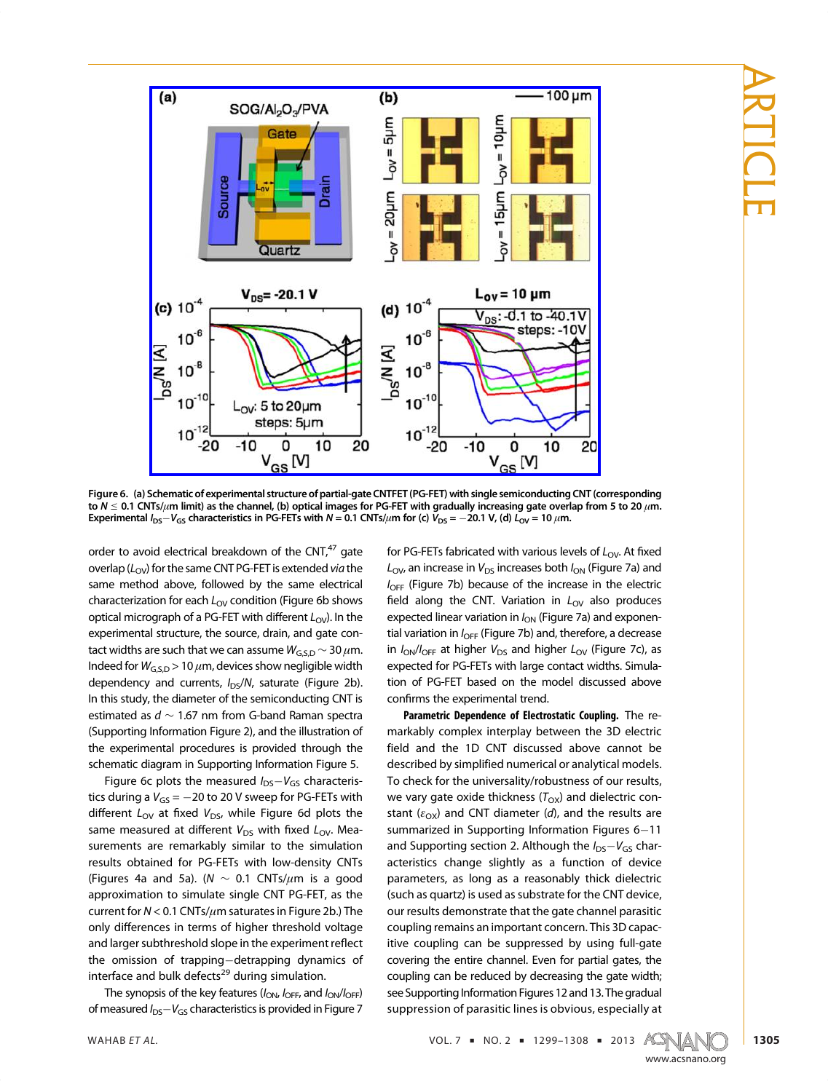

Figure 6. (a) Schematic of experimental structure of partial-gate CNTFET(PG-FET) with single semiconducting CNT (corresponding to  $N \le 0.1$  CNTs/ $\mu$ m limit) as the channel, (b) optical images for PG-FET with gradually increasing gate overlap from 5 to 20  $\mu$ m. Experimental  $I_{DS}-V_{GS}$  characteristics in PG-FETs with  $N=0.1$  CNTs/ $\mu$ m for (c)  $V_{DS} = -20.1$  V, (d)  $L_{OV} = 10 \mu$ m.

order to avoid electrical breakdown of the  $CNT<sub>1</sub><sup>47</sup>$  gate overlap ( $L_{OV}$ ) for the same CNT PG-FET is extended via the same method above, followed by the same electrical characterization for each  $L_{\text{OV}}$  condition (Figure 6b shows<br>optical micrograph of a BG EET with different  $L_{\text{OV}}$ ) In the optical micrograph of a PG-FET with different  $L_{OV}$ ). In the experimental structure, the source, drain, and gate contact widths are such that we can assume  $W_{G,SD} \sim 30 \ \mu m$ .<br>Indeed for  $W_{G,SD} \sim 10 \ \mu m$  devices show nogligible width Indeed for  $W_{G, S, D}$  > 10  $\mu$ m, devices show negligible width dependency and currents,  $I_{DS}/N$ , saturate (Figure 2b).<br>In this study, the diameter of the semiconducting CNT is **In this study, the diameter of the set the set the set the semi-**<br>Connecting Information Figure 2) and the illustration of (Supporting Information Figure 2), and the illustration of the experimental procedures is provided through the schematic diagram in Supporting Information Figure 5.

Figure 6c plots the measured  $I_{DS}-V_{GS}$  characteris-<br>ties during a  $V_{S} = 20$  to 20 V cureap for BG EETs with tics during a  $V_{GS} = -20$  to 20 V sweep for PG-FETs with different  $L_{\text{OV}}$  at fixed  $V_{\text{DS}}$ , while Figure 6d plots the same measured at different  $V_{DS}$  with fixed  $L_{OV}$ . Measurements are remarkably similar to the simulation results obtained for PG-FETs with low-density CNTs Figures 4a and 5a). ( $N \sim 0.1$  CNTs/μm is a good<br>controller to cimulate cine CNT BG EET as the current for  $N < 0.1$  CNTs/ $\mu$ m saturates in Figure 2b.) The<br>cubic differences in terms of bigber throshold veltage only differences in terms of higher threshold voltage and larger subthreshold slope in the experiment reflect the omission of trapping-detrapping dynamics of interface and bulk defects<sup>29</sup> during simulation.

The synopsis of the key features  $(I_{ON}, I_{OFF}$ , and  $I_{ON}/I_{OFF}$ ) of measured  $I_{DS}-V_{GS}$  characteristics is provided in Figure 7 for PG-FETs fabricated with various levels of  $L_{\text{OV}}$ . At fixed  $L_{\text{OV}}$ , an increase in  $V_{\text{DS}}$  increases both  $I_{\text{ON}}$  (Figure 7a) and  $I_{\text{OFF}}$  (Figure 7b) because of the increase in the electric field along the CNT. Variation in  $L_{\text{OV}}$  also produces expected linear variation in  $I_{ON}$  (Figure 7a) and exponential variation in  $I_{\text{OFF}}$  (Figure 7b) and, therefore, a decrease in  $I_{\text{ON}}/I_{\text{OFF}}$  at higher  $V_{\text{DS}}$  and higher  $L_{\text{OV}}$  (Figure 7c), as expected for PG-FETs with large contact widths. Simulation of PG-FET based on the model discussed above tion firms the experimental trend.<br> **Confirms the experimental trend.**<br> **Respective Department of Flatestatic Coupling.** The se

Parametric Dependence of Electrostatic Coupling. The re-<br>markably complex interplay between the 3D electric field and the 1D CNT discussed above cannot be described by simplified numerical or analytical models. To check for the universality/robustness of our results, We vary gate oxide thickness  $(T_{OX})$  and dielectric con-<br>stant (s) and CNT diameter (s) and the results are stant ( $\varepsilon_{\text{OX}}$ ) and CNT diameter (*d*), and the results are summarized in Supporting Information Figures 6–11 summarized in Supporting Information Figures 6–11<br>and Supporting costion 2. Although the Luck Lucker and Supporting section 2. Although the  $I_{DS}-V_{GS}$  char-<br>actoristics, change, slightly, as a function of dovise acteristics change slightly as a function of device<br>parameters, as long as a reasonably thick dielectric (such as quartz) is used as substrate for the CNT device, our results demonstrate that the gate channel parasitic coupling remains an important concern. This 3D capacitive coupling can be suppressed by using full-gate covering the entire channel. Even for partial gates, the coupling can be reduced by decreasing the gate width; see Supporting Information Figures 12 and 13. The gradual see supporting information rights 12 and 13. The gradual suppression of parasitic lines is obvious, especially at

WAHAB ET AL.  $VOL. 7$  = NO. 2 = 1299-1308 = 2013 ACWAN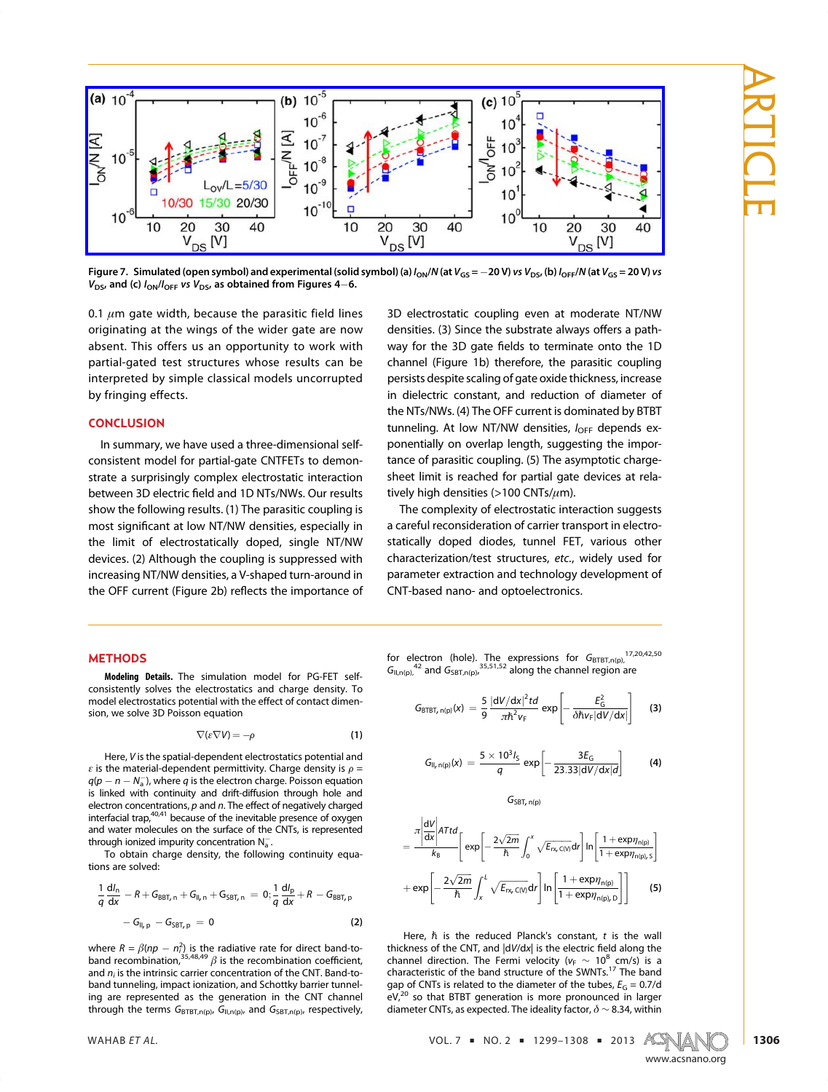

Figure 7. Simulated (open symbol) and experimental (solid symbol) (a)  $l_{ON}/N$  (at  $V_{GS} = -20 V$ ) vs  $V_{DS}$ , (b)  $l_{OFF}/N$  (at  $V_{GS} = 20 V$ ) vs  $V_{DS}$ , and (c)  $I_{ON}/I_{OFF}$  vs  $V_{DS}$ , as obtained from Figures 4–6.

0.1  $\mu$ m gate width, because the parasitic field lines originating at the wings of the wider gate are now absent. This offers us an opportunity to work with partial-gated test structures whose results can be interpreted by simple classical models uncorrupted  $\frac{1}{2}$ by fringing effects.

## **CONCLUSION**

In summary, we have used a three-dimensional self-<br>consistent model for partial-gate CNTFETs to demonstrate a surprisingly complex electrostatic interaction strate a surprisingly completed and 1D NTs/NWs. Our results<br>between 3D electric field and 1D NTs/NWs. Our results<br>show the following results (1) The paracitic coupling is most significant at low NT/NW densities, especially in the limit of electrotatically densed single NT/NW the limit of electrostatically doped, single NT/NW<br>devices. (2) Although the coupling is suppressed with increasing NT/NW densities, a V-shaped turn-around in increasing NT/NW densities, a V-shaped turn-around in the OFF current (Figure 2b) reflects the importance of

# densities. (3) Since the substrate always offers a path-<br>way for the 3D gate fields to terminate onto the 1D way for the 3D gate fields to terminate onto the 1D channel (Figure 1b) therefore, the parasitic coupling persists despite scaling of gate oxide thickness, increase in dielectric constant, and reduction of diameter of the NTs/NWs. (4) The OFF current is dominated by BTBT tunneling. At low NT/NW densities,  $I_{\text{OFF}}$  depends ex-<br>nonontially an overlap langth system the imporponentially on overlap length, suggesting the importance of parasitic coupling. (5) The asymptotic chargesheet limit is reached for partial gate devices at relatively high densities  $(>100 \text{ CNTs}/\mu\text{m})$ .<br>The complexity of electrostatic interaction suggests

The complexity of electrostatic interaction suggests<br>a careful reconsideration of carrier transport in electrostatically doped diodes, tunnel FET, various other statically doped diodes, tunnel FET, various other characterization/test structures, etc., widely used for parameter extraction and technology development of CNT-based nano- and optoelectronics.

#### **METHODS**

Modeling Details. The simulation model for PG-FET self-<br>consistently solves the electrostatics and charge density. To model electrostatics potential with the effect of contact dimen- $\frac{1}{2}$  sion we solve 3D Poisson equation sion, we solve 3D Poisson equation

$$
\nabla(\varepsilon \nabla V) = -\rho \tag{1}
$$

Here, V is the spatial-dependent electrostatics potential and<br>the material-dependent permittivity. Charge density is  $\alpha$  $\varepsilon$  is the material-dependent permittivity. Charge density is  $\rho =$ <br> $g(n - n - N^{-1})$  where a is the electron charge. Poisson equation  $q(p - n - N_a)$ , where q is the electron charge. Poisson equation<br>is linked with continuity and drift-diffusion through hole and is linked with continuity and drift-diffusion through hole and electron concentrations,  $p$  and  $n$ . The effect of negatively charged interfacial trap, $40,41$  because of the inevitable presence of oxygen and water molecules on the surface of the CNTs, is represented through ionized impurity concentration  $N_{\infty}$ , is represented the CNTs, i.e.,  $\frac{1}{N_{\infty}}$ 

the input in the set of the set of the following the following the following the following the set of the following the set of the set of the set of the set of the set of the set of the set of the set of the set of the set .  $T$  or a reduced to  $T$  or  $T$  , the following continuity equals continued continuity equals to  $T$ 

$$
\frac{1}{q}\frac{dI_n}{dx} - R + G_{BBT,n} + G_{II,n} + G_{SBT,n} = 0; \frac{1}{q}\frac{dI_p}{dx} + R - G_{BBT,p} \n- G_{II,p} - G_{SBT,p} = 0
$$
\n(2)

where  $R = \beta(np - n_i^2)$  is the radiative rate for direct band-to-<br>band recombination,<sup>35,48,49</sup>  $\beta$  is the recombination coefficient,<br>and *n*- is the intrinsic carrier concentration of the CNT Band-toand  $n_i$  is the intrinsic carrier concentration of the CNT. Band-to-<br>band tunneling, impact ionization, and Schottky barrier tunneling are represented as the generation in the CNT channel through the terms  $G_{\text{BTBT},n(p)}$ ,  $G_{\text{II},n(p)}$ , and  $G_{\text{SBT},n(p)}$ , respectively,

for electron (hole). The expressions for  $G_{\text{BTET,n(p)}}$ ,  $G_{\text{BTET,n(p)}}$ ,  $G_{\text{BDE}}$  and  $G_{\text{CFT}}$  (  $3^{35,51,52}$  along the channel region are  $G_{\text{II},\text{n(p)}}$ ,  $^{42}$  and  $G_{\text{SBT},\text{n(p)}}$ ,  $^{35,51,52}$  along the channel region are

$$
G_{\text{BTBT}, n(p)}(x) = \frac{5}{9} \frac{|dV/dx|^2 td}{\pi \hbar^2 v_F} \exp \left[ -\frac{E_G^2}{\delta \hbar v_F |dV/dx|} \right] \quad (3)
$$

$$
G_{II, n(p)}(x) = \frac{5 \times 10^3 I_S}{q} \exp \left[ -\frac{3E_G}{23.33|dV/dx|d} \right] \hspace{1cm} (4)
$$

 $G_{SBT, n(p)}$ 

$$
= \frac{\pi \left| \frac{dV}{dx} \right| ATtd}{k_B} \left[ exp \left[ -\frac{2\sqrt{2m}}{\hbar} \int_0^x \sqrt{E_{rv, C(V)}} dr \right] \ln \left[ \frac{1 + exp\eta_{n(p)}}{1 + exp\eta_{n(p), S}} \right] + exp \left[ -\frac{2\sqrt{2m}}{\hbar} \int_x^L \sqrt{E_{rv, C(V)}} dr \right] \ln \left[ \frac{1 + exp\eta_{n(p)}}{1 + exp\eta_{n(p), D}} \right] \right] \tag{5}
$$

Here,  $\hbar$  is the reduced Planck's constant,  $t$  is the wall thickness of the CNT, and  $|dV/dx|$  is the electric field along the channel direction. The Fermi velocity ( $v_F \sim 10^8$  cm/s) is a characteristic of the band structure of the SWNTs.<sup>17</sup> The band characteristic of the band structure of the SWNTs. The band<br>gap of CNTs is related to the diameter of the tubes,  $E_G = 0.7/d$ <br>eV.<sup>20</sup> so that RTRT generation is more propounced in larger ev, Tso that BTBT generation is more pronounced in larger<br>diameter CNTs, as expected. The ideality factor, δ ∼ 8.34, within

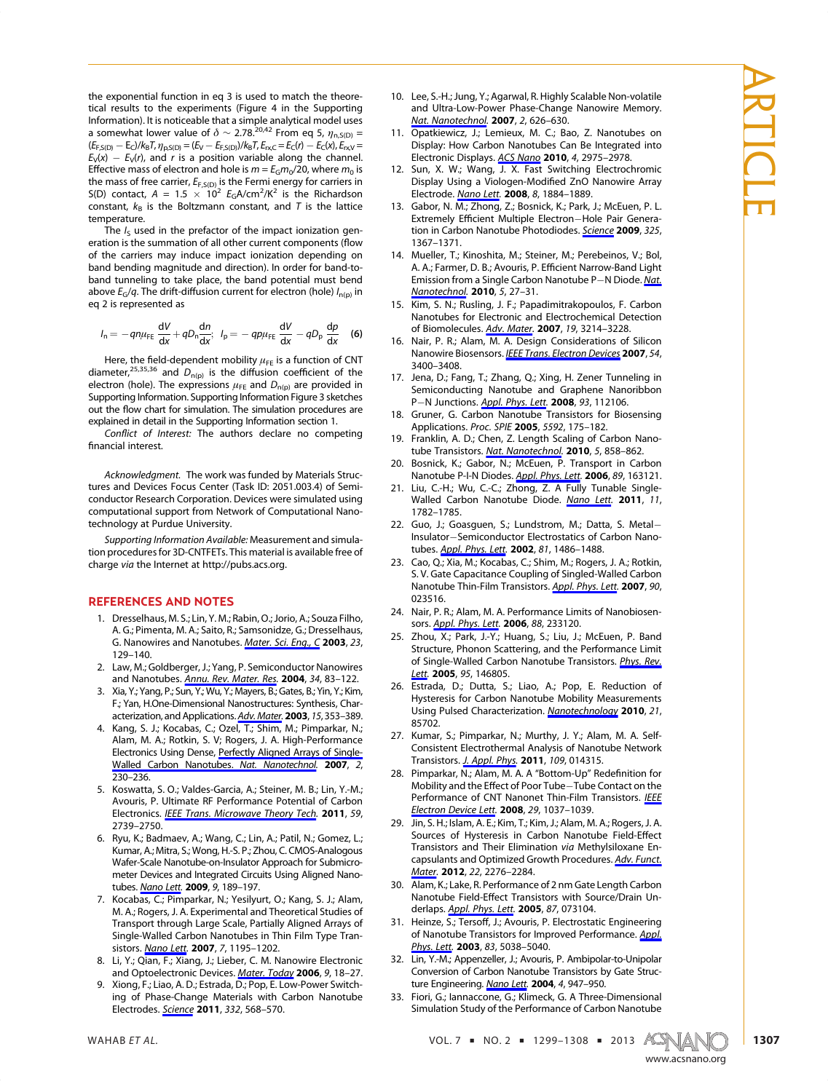the exponential function in eq 3 is used to match the theoretical results to the experiments (Figure 4 in the Supporting Information). It is noticeable that a simple analytical model uses a somewhat lower value of  $\delta \sim 2.78^{20,42}$  From eq 5,  $\eta_{n, S(D)} =$ <br>[Ferm = Fel/k=I, n, sm = [F<sub>1</sub> = Ferm]]/k=I, F, e= Fe(n) = Fe(x) F, y=  $(E_{F,S(D)} - E_C)/k_B T$ ,  $\eta_{D,S(D)} = (E_V - E_{F,S(D)})/k_B T$ ,  $E_{\text{PXC}} = E_C(r) - E_C(x)$ ,  $E_{\text{PX}} =$  $E_V(x) - E_V(r)$ , and r is a position variable along the channel. Effective mass of electron and hole is  $m = E_G m_0/20$ , where  $m_0$  is the mass of free carrier,  $E_{F,S(D)}$  is the Fermi energy for carriers in the mass of free carrier,  $E_{F,S(D)}$  is the Fermi energy for carriers in<br>S(D) contact  $A = 1.5 \times 10^2$   $E_0 A/cm^2$ /K<sup>2</sup> is the Bichardson S(D) contact,  $A = 1.5 \times 10^2$   $E_G A/cm^2/K^2$  is the Richardson<br>constant  $k_2$  is the Boltzmann constant and T is the lattice constant,  $k_B$  is the Boltzmann constant, and T is the lattice temperature.

The  $I_S$  used in the prefactor of the impact ionization generation is the summation of all other current components (flow eration is the summation of all other current components (flow<br>of the carriers may induce impact ionization depending on band bending magnitude and direction). In order for band-toband tunneling to take place, the band potential must bend above  $E_G/q$ . The drift-diffusion current for electron (hole)  $I_{n(p)}$  in eq. 2 is represented as eq 2 is represented as

$$
I_n = -q n \mu_{FE} \frac{dV}{dx} + q D_n \frac{dn}{dx}; \quad I_p = -q p \mu_{FE} \frac{dV}{dx} - q D_p \frac{dp}{dx} \quad (6)
$$

Here, the field-dependent mobility  $\mu_{FE}$  is a function of CNT neter  $^{25,35,36}$  and D<sub>LA</sub> is the diffusion coefficient of the diameter,<sup>25,35,36</sup> and  $D_{n(p)}$  is the diffusion coefficient of the electron (hole). The expressions *use* and  $D_{n(p)}$  are provided in electron (hole). The expressions  $\mu_{FE}$  and  $D_{n(p)}$  are provided in Supporting Information. Supporting Information Figure 3 sketches Figure 1 support The Supportion Information Figure 3 setches are explained in detail in the Supporting Information section 1

Conflict of Interest: The authors declare no competing<br>financial interest financial interest.

Acknowledgment. The work was funded by Materials Strucconductor Research Corporation. Devices were simulated using computational support from Network of Computational Nanotechnology at Purdue University.

technology at Purdue University. Supporting Information Available: Measurement and simulation procedures for 3D-CNTFETs. This material is available free of charge via the Internet at http://pubs.acs.org.

## REFERENCES AND NOTES

- 1. Dresselhaus, M. S.; Lin, Y. M.; Rabin, O.; Jorio, A.; Souza Filho, G. Nanowires and Nanotubes. *Mater. Sci. Eng., C* 2003, 23,<br>129–140 129–140.<br>2. Law, M.; Goldberger, J.; Yang, P. Semiconductor Nanowires
- 2. Law, M.; Goldberger, J.; Goldberger, J.; Annu. Rev. Mater. Res. 2004, 34, 83–122.<br>3. Xia Y. Yang, P. Sun, Y. Wu, Y. Mayers R. Gates, R. Yin, Y. Kim
- 3. Xia, Y.; Yang, P.; Sun, Y.; Wu, Y.; Mayers, B.; Gates, B.; Yin, Y.; Kim, F.; Yan. H.One-Dimensional Nanostructures: Synthesis. Charr. Tan, H. Anne, H. (2003, 15, 353–389.<br>acterization, and Applications. Adv. Mater. 2003, 15, 353–389.<br>Kang-S. L.: Kocabas, C.: Ozel, T.: Shim, M.: Pimparkar, N.:
- 4. Kang, S. J.; Kocabas, C.; Ozel, T.; Shim, M.; Pimparkar, N.; Alam, M. A.; Rotkin, S. V; Rogers, J. A. High-Performance Electronics Using Dense, Perfectly Aligned Arrays of Single-Walled Carbon Nanotubes. Nat. Nanotechnol. 2007, 2,<br>230–236
- 230–236.<br>5. Koswatta, S. O.; Valdes-Garcia, A.; Steiner, M. B.; Lin, Y.-M.; Avouris, P. Ultimate RF Performance Potential of Carbon Avouris, P. Ultimate RF Performance Potential of Carbon Electronics. IEEE Trans. Microwave Theory Tech. <sup>2011</sup>, <sup>59</sup>,
- 2739–2750.<br>5. Ryu, K.; Badmaev, A.; Wang, C.; Lin, A.; Patil, N.; Gomez, L.; Kumar, A.; Mitra, S.; Wong, H.-S. P.; Zhou, C. CMOS-Analogous Wafer-Scale Nanotube-on-Insulator Approach for Submicrometer Devices and Integrated Circuits Using Aligned Nanotubes. <u>Nano Lett</u>. **2009**, 9, 189–197.<br>Kocabas. C.: Pimparkar. N.: Yesilvurt. Q.: Kang. S. L.: Alam.
- 7. Kocabas, C.; Pimparkar, N.; Yesilyurt, O.; Kang, S. J.; Alam, Transport through Large Scale, Partially Aligned Arrays of Single-Walled Carbon Nanotubes in Thin Film Type Transistors. <u>Nano Lett</u>. **2007**, 7, 1195–1202.<br>Li Y : Ojan E : Xiang. L: Lieber C. M. Nanowire Electronic
- and Optoelectronic Devices. <u>Mater. Today</u> 2006, 9, 18–27.<br>
9. Xiong, E: Liao, A. D.: Estrada D.: Pop. E. Low: Power Switch-
- 9. Xiong, F.; Liao, A. D.; Estrada, D.; Pop, E. Low-Power Switch-Electrodes. <u>Science</u> 2011, 332, 568–570.
- 10. Lee, S.-H.; Jung, Y.; Agarwal, R. Highly Scalable Non-volatile Nat. Nanotechnol. **2007**, 2, 626–630.<br>Opatkiewicz I. Lemieux. M. C.: Bao. Z. Nanotubes. op
- 11. Opatkiewicz, J.; Lemieux, M. C.; Bao, Z. Nanotubes on Electronic Displays. ACS Nano 2010, 4, 2975–2978.<br>Sun X. W.: Wang, L. X. East Switching Electrochromic
- 12. Display Using a Viologen-Modified ZnO Nanowire Array<br>Electrode Nano Lett 2008 8 1884–1889 Electrode. *Nano Lett.* 2008, 8, 1884–1889.<br>13. Gabor, N. M.; Zhong, Z.; Bosnick, K.; Park, J.; McEuen, P. L.
- 13. Extremely Efficient Multiple Electron—Hole Pair Genera-<br>tion in Carbon Nanotube Photodiodes Science 2009 325 tion in Carbon Nanotube Photodiodes. Science 2009, 325, 1367–1371.<br>14. Mueller, T.; Kinoshita, M.; Steiner, M.; Perebeinos, V.; Bol,
- 14. A.; Farmer, D. B.; Avouris, P. Efficient Narrow-Band Light<br>Emission from a Single Carbon Nanotube P–N Diode Nat Emission from a Single Carbon Nanotube P-N Diode. Nat. Nanotechnol. 2010, 5, 27–31.<br>15. Kim, S. N.; Rusling, J. F.; Papadimitrakopoulos, F. Carbon
- Nanotubes for Electronic and Electrochemical Detection of Biomolecules. Adv. Mater. 2007, 19, 3214–3228.<br>Nair P. R.: Alam M. A. Design Considerations of Silicon
- Nanowire Biosensors. <u>IEEE Trans. Electron Devices</u> 2007, 54,<br>3400–3408 3400-3408.<br>17. Jena, D.; Fang, T.; Zhang, Q.; Xing, H. Zener Tunneling in
- Semiconducting Nanotube and Graphene Nanoribbon P-N Junctions. Appl. Phys. Lett. **2008**, 93, 112106.<br>Gruper. G. Carbon Nanotube Transistors for Biosensing
- 18. Grund, Gruner, Gruner, Gruner, Gruner, Grund, Applications. Proc. SPIE 2005, 5592, 175–182.<br>19. Franklin, A. D.: Chen. Z. Length Scaling of Carbon Nano-
- 19. Franklin, A. D.; Chen, A. D., Chen, Z. 2010, 5, 858–862.<br>20. Bosnick K.: Gabor N.: McEuen, P. Transport in Carbon
- Nanotube P-I-N Diodes. Appl. Phys. Lett. 2006, 89, 163121.<br>21 Liu C-H · Wu C-C · Zhong. Z. A Fully Tunable Single-
- Walled Carbon Nanotube Diode. Nano Lett. 2011, 11,<br>1782–1785 1782–1785.
- 22. Guo, J.; Goasguen, S.; Lundstrom, M.; Datta, S. Metal-Insulator-Semiconductor Electrostatics of Carbon Nanotubes. Appl. Phys. Lett. 2002, 81, 1486-1488.<br>23. Cao, Q.; Xia, M.; Kocabas, C.; Shim, M.; Rogers, J. A.; Rotkin,
- 5. V. Gate Capacitance Coupling of Singled-Walled Carbon S. V. Gate Capacitance Coupling of Singled-Walled-Walled-Walled Carbon<br>Nanotube Thin-Film Transistors. <u>Appl. Phys. Lett</u>. **2007**, 90,<br>023516
- 24. Nair, P. R.; Alam, M. A. Performance Limits of Nanobiosen-24. Nair, *Appl. Phys. Lett.* 2006, 88, 233120.<br>Sors. <u>Appl. Phys. Lett.</u> 2006, 88, 233120.<br>25. Zhou. X: Park. L.V: Huang. S: Liu. L: McEuen. P. Band
- 25. Zhou, X.; Park, J.-Y.; Huang, S.; Liu, J.; McEuen, P. Band<br>Structure, Phonon Scattering, and the Performance Limit of Single-Walled Carbon Nanotube Transistors. Phys. Rev.<br>Lett. **2005**. 95. 146805 Lett. 2005, 95, 146805.<br>26. Estrada, D.; Dutta, S.; Liao, A.; Pop, E. Reduction of
- Hysteresis for Carbon Nanotube Mobility Measurements . <sub>19</sub> - Land Characterization. Nanotechnology 2010, 21,<br>Using Pulsed Characterization. <u>Nanotechnology</u> 2010, 21,<br>85702 85702.<br>27. Kumar, S.; Pimparkar, N.; Murthy, J. Y.; Alam, M. A. Self-
- Consistent Electrothermal Analysis of Nanotube Network Transistors. <u>J. Appl. Phys</u>. **2011**, *109*, 014315.<br>Pimparkar, N.: Alam, M. A. A. "Bottom-Un" Bedefinition for
- 28. Pimparkar, N.; Alam, M. A. A "Bottom-Up" Redefinition for Mobility and the Effect of Poor Tube-Tube Contact on the Performance of CNT Nanonet Thin-Film Transistors. IEEE Electron Device Lett. 2008, 29, 1037-1039.<br>29. Jin, S. H.; Islam, A. E.; Kim, T.; Kim, J.; Alam, M. A.; Rogers, J. A.
- 29. Sources of Hysteresis in Carbon Nanotube Field-Effect<br>Transistors and Their Elimination via Methylsilovane En-Transistors and Their Elimination via Methylsiloxane Encapsulants and Optimized Growth Procedures. Adv. Funct. Mater. 2012, 22, 2276–2284.<br>30. Alam, K.; Lake, R. Performance of 2 nm Gate Length Carbon
- 30. Manotube Field-Effect Transistors with Source/Drain Un-<br>derlans Appl Phys Lett 2005 87 073104 derlaps. Appl. Phys. Lett. 2005, 87, 073104.
- 31. Heinze, S.; Tersoff, J.; Avouris, P. Electrostatic Engineering of Nanotube Transistors for Improved Performance. Appl. Phys. Lett. 2003, 83, 5038-5040.<br>32. Lin, Y.-M.; Appenzeller, J.; Avouris, P. Ambipolar-to-Unipolar
- Conversion of Carbon Nanotube Transistors by Gate Structure Engineering. <u>Nano Lett</u>. **2004**, 4, 947–950.<br>Eiori. G.: Jannaccone. G.: Klimeck. G. A. Three-Dimensional
- Fiori, G.; Iannaccone, G.; Klimeck, G. A Three-Dimensional<br>Simulation Study of the Performance of Carbon Nanotube Simulation Study of the Performance of Carbon Nanotube



www.accom

VAI